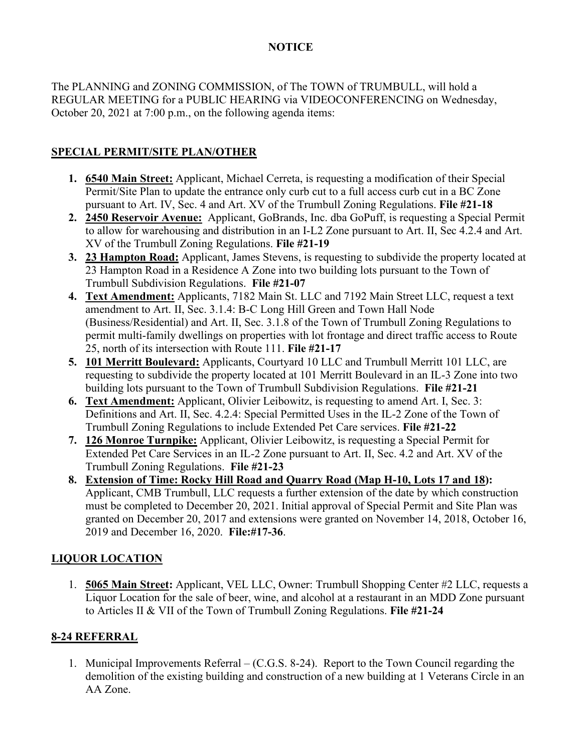## **NOTICE**

The PLANNING and ZONING COMMISSION, of The TOWN of TRUMBULL, will hold a REGULAR MEETING for a PUBLIC HEARING via VIDEOCONFERENCING on Wednesday, October 20, 2021 at 7:00 p.m., on the following agenda items:

## **SPECIAL PERMIT/SITE PLAN/OTHER**

- **1. 6540 Main Street:** Applicant, Michael Cerreta, is requesting a modification of their Special Permit/Site Plan to update the entrance only curb cut to a full access curb cut in a BC Zone pursuant to Art. IV, Sec. 4 and Art. XV of the Trumbull Zoning Regulations. **File #21-18**
- **2. 2450 Reservoir Avenue:** Applicant, GoBrands, Inc. dba GoPuff, is requesting a Special Permit to allow for warehousing and distribution in an I-L2 Zone pursuant to Art. II, Sec 4.2.4 and Art. XV of the Trumbull Zoning Regulations. **File #21-19**
- **3. 23 Hampton Road:** Applicant, James Stevens, is requesting to subdivide the property located at 23 Hampton Road in a Residence A Zone into two building lots pursuant to the Town of Trumbull Subdivision Regulations. **File #21-07**
- **4. Text Amendment:** Applicants, 7182 Main St. LLC and 7192 Main Street LLC, request a text amendment to Art. II, Sec. 3.1.4: B-C Long Hill Green and Town Hall Node (Business/Residential) and Art. II, Sec. 3.1.8 of the Town of Trumbull Zoning Regulations to permit multi-family dwellings on properties with lot frontage and direct traffic access to Route 25, north of its intersection with Route 111. **File #21-17**
- **5. 101 Merritt Boulevard:** Applicants, Courtyard 10 LLC and Trumbull Merritt 101 LLC, are requesting to subdivide the property located at 101 Merritt Boulevard in an IL-3 Zone into two building lots pursuant to the Town of Trumbull Subdivision Regulations. **File #21-21**
- **6. Text Amendment:** Applicant, Olivier Leibowitz, is requesting to amend Art. I, Sec. 3: Definitions and Art. II, Sec. 4.2.4: Special Permitted Uses in the IL-2 Zone of the Town of Trumbull Zoning Regulations to include Extended Pet Care services. **File #21-22**
- **7. 126 Monroe Turnpike:** Applicant, Olivier Leibowitz, is requesting a Special Permit for Extended Pet Care Services in an IL-2 Zone pursuant to Art. II, Sec. 4.2 and Art. XV of the Trumbull Zoning Regulations. **File #21-23**
- **8. Extension of Time: Rocky Hill Road and Quarry Road (Map H-10, Lots 17 and 18):** Applicant, CMB Trumbull, LLC requests a further extension of the date by which construction must be completed to December 20, 2021. Initial approval of Special Permit and Site Plan was granted on December 20, 2017 and extensions were granted on November 14, 2018, October 16, 2019 and December 16, 2020. **File:#17-36**.

## **LIQUOR LOCATION**

1. **5065 Main Street:** Applicant, VEL LLC, Owner: Trumbull Shopping Center #2 LLC, requests a Liquor Location for the sale of beer, wine, and alcohol at a restaurant in an MDD Zone pursuant to Articles II & VII of the Town of Trumbull Zoning Regulations. **File #21-24**

## **8-24 REFERRAL**

1. Municipal Improvements Referral – (C.G.S. 8-24). Report to the Town Council regarding the demolition of the existing building and construction of a new building at 1 Veterans Circle in an AA Zone.